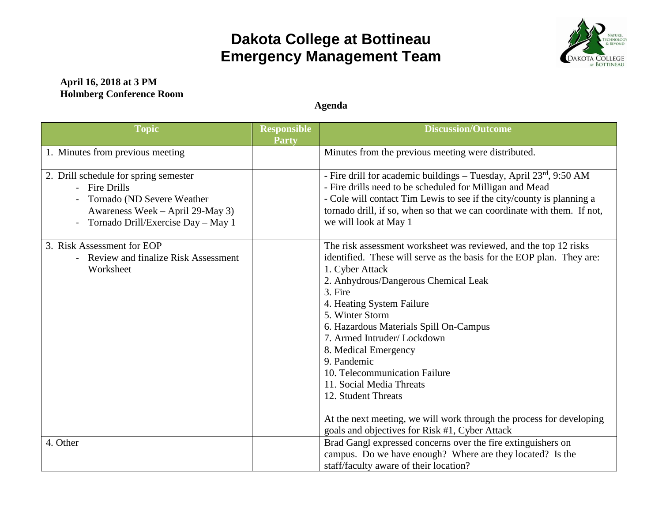## **Dakota College at Bottineau Emergency Management Team**



## **April 16, 2018 at 3 PM Holmberg Conference Room**

**Agenda**

| <b>Topic</b>                                                                                                                                                   | <b>Responsible</b><br><b>Party</b> | <b>Discussion/Outcome</b>                                                                                                                                                                                                                                                                                                                                                                                                                                                                                                                                                                    |
|----------------------------------------------------------------------------------------------------------------------------------------------------------------|------------------------------------|----------------------------------------------------------------------------------------------------------------------------------------------------------------------------------------------------------------------------------------------------------------------------------------------------------------------------------------------------------------------------------------------------------------------------------------------------------------------------------------------------------------------------------------------------------------------------------------------|
| 1. Minutes from previous meeting                                                                                                                               |                                    | Minutes from the previous meeting were distributed.                                                                                                                                                                                                                                                                                                                                                                                                                                                                                                                                          |
| 2. Drill schedule for spring semester<br>- Fire Drills<br>Tornado (ND Severe Weather<br>Awareness Week – April 29-May 3)<br>Tornado Drill/Exercise Day - May 1 |                                    | - Fire drill for academic buildings – Tuesday, April $23rd$ , 9:50 AM<br>- Fire drills need to be scheduled for Milligan and Mead<br>- Cole will contact Tim Lewis to see if the city/county is planning a<br>tornado drill, if so, when so that we can coordinate with them. If not,<br>we will look at May 1                                                                                                                                                                                                                                                                               |
| 3. Risk Assessment for EOP<br>- Review and finalize Risk Assessment<br>Worksheet                                                                               |                                    | The risk assessment worksheet was reviewed, and the top 12 risks<br>identified. These will serve as the basis for the EOP plan. They are:<br>1. Cyber Attack<br>2. Anhydrous/Dangerous Chemical Leak<br>3. Fire<br>4. Heating System Failure<br>5. Winter Storm<br>6. Hazardous Materials Spill On-Campus<br>7. Armed Intruder/Lockdown<br>8. Medical Emergency<br>9. Pandemic<br>10. Telecommunication Failure<br>11. Social Media Threats<br>12. Student Threats<br>At the next meeting, we will work through the process for developing<br>goals and objectives for Risk #1, Cyber Attack |
| 4. Other                                                                                                                                                       |                                    | Brad Gangl expressed concerns over the fire extinguishers on<br>campus. Do we have enough? Where are they located? Is the<br>staff/faculty aware of their location?                                                                                                                                                                                                                                                                                                                                                                                                                          |